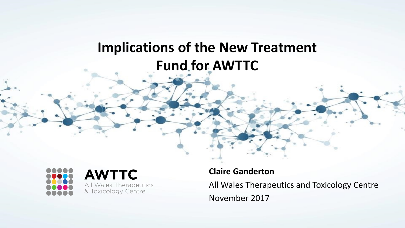## **Implications of the New Treatment Fund for AWTTC**





**Claire Ganderton** All Wales Therapeutics and Toxicology Centre November 2017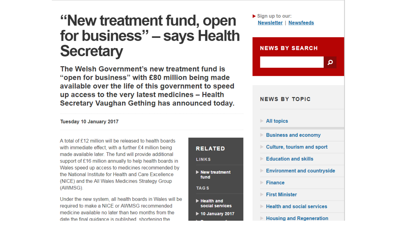# "New treatment fund, open for business" - says Health **Secretary**

The Welsh Government's new treatment fund is "open for business" with £80 million being made available over the life of this government to speed up access to the very latest medicines - Health Secretary Vaughan Gething has announced today.

**RELATED** 

 $\blacktriangleright$  New treatment

**LINKS** 

fund

Health and

social services

 $\triangleright$  10 January 2017

**TAGS** 

#### Tuesday 10 January 2017

A total of £12 million will be released to health boards with immediate effect, with a further £4 million being made available later. The fund will provide additional support of £16 million annually to help health boards in Wales speed up access to medicines recommended by the National Institute for Health and Care Excellence (NICE) and the All Wales Medicines Strategy Group (AWMSG).

Under the new system, all health boards in Wales will be required to make a NICE or AWMSG recommended medicine available no later than two months from the date the final quidance is published shortening the

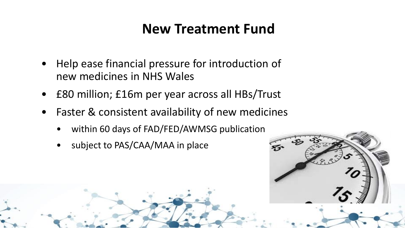## **New Treatment Fund**

- Help ease financial pressure for introduction of new medicines in NHS Wales
- £80 million; £16m per year across all HBs/Trust
- Faster & consistent availability of new medicines
	- within 60 days of FAD/FED/AWMSG publication
	- subject to PAS/CAA/MAA in place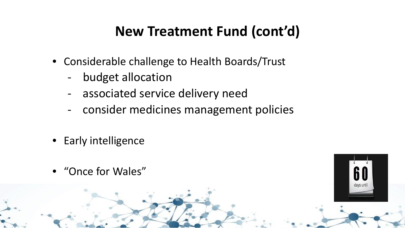# **New Treatment Fund (cont'd)**

- Considerable challenge to Health Boards/Trust
	- budget allocation
	- associated service delivery need
	- consider medicines management policies
- Early intelligence
- "Once for Wales"

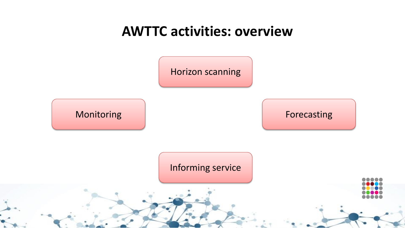### **AWTTC activities: overview**

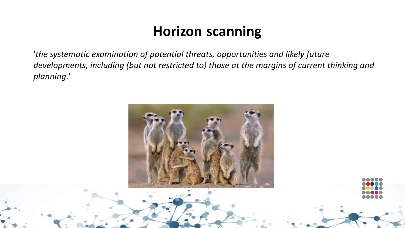# **Horizon scanning**

'*the systematic examination of potential threats, opportunities and likely future developments, including (but not restricted to) those at the margins of current thinking and planning.*'

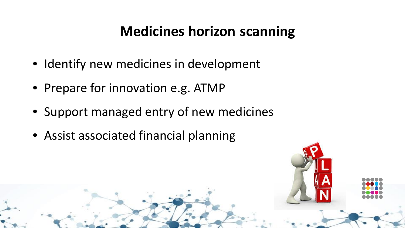# **Medicines horizon scanning**

- Identify new medicines in development
- Prepare for innovation e.g. ATMP
- Support managed entry of new medicines
- Assist associated financial planning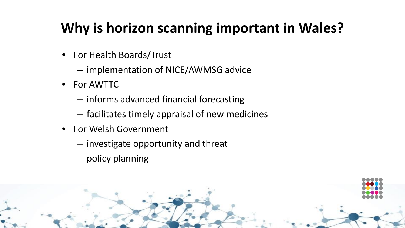# **Why is horizon scanning important in Wales?**

- For Health Boards/Trust
	- implementation of NICE/AWMSG advice
- For AWTTC
	- informs advanced financial forecasting
	- facilitates timely appraisal of new medicines
- For Welsh Government
	- investigate opportunity and threat
	- policy planning

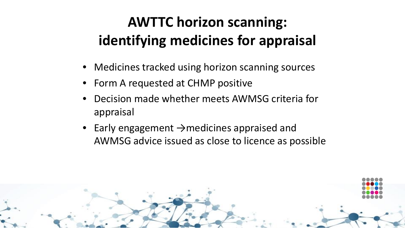# **AWTTC horizon scanning: identifying medicines for appraisal**

- Medicines tracked using horizon scanning sources
- Form A requested at CHMP positive
- Decision made whether meets AWMSG criteria for appraisal
- Early engagement →medicines appraised and AWMSG advice issued as close to licence as possible

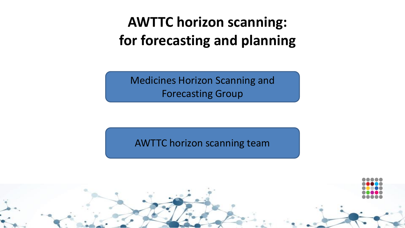**AWTTC horizon scanning: for forecasting and planning**

Medicines Horizon Scanning and Forecasting Group

AWTTC horizon scanning team

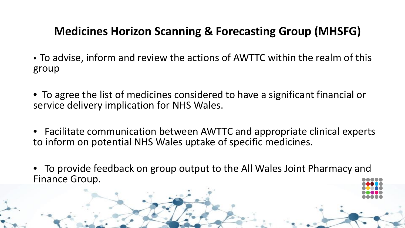#### **Medicines Horizon Scanning & Forecasting Group (MHSFG)**

- To advise, inform and review the actions of AWTTC within the realm of this group
- To agree the list of medicines considered to have a significant financial or service delivery implication for NHS Wales.
- Facilitate communication between AWTTC and appropriate clinical experts to inform on potential NHS Wales uptake of specific medicines.
- To provide feedback on group output to the All Wales Joint Pharmacy and Finance Group.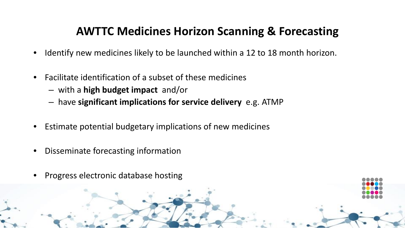#### **AWTTC Medicines Horizon Scanning & Forecasting**

- Identify new medicines likely to be launched within a 12 to 18 month horizon.
- Facilitate identification of a subset of these medicines
	- with a **high budget impact** and/or
	- have **significant implications for service delivery** e.g. ATMP
- Estimate potential budgetary implications of new medicines
- Disseminate forecasting information
- Progress electronic database hosting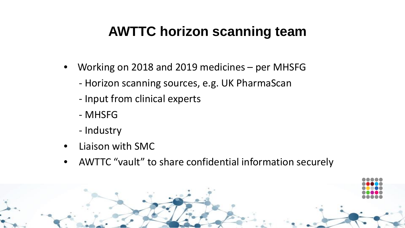# **AWTTC horizon scanning team**

- Working on 2018 and 2019 medicines per MHSFG
	- Horizon scanning sources, e.g. UK PharmaScan
	- Input from clinical experts
	- MHSFG
	- Industry
- Liaison with SMC
- AWTTC "vault" to share confidential information securely

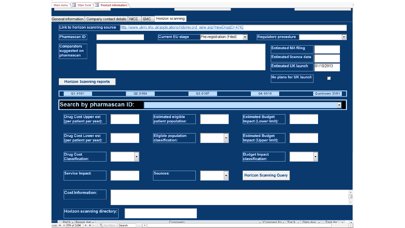|                                                       |          | <b>Current EU stage</b>    | Pre-registration (Filed) | <b>Regulatory procedure</b><br>▾∥ |                  |
|-------------------------------------------------------|----------|----------------------------|--------------------------|-----------------------------------|------------------|
| <b>Comparators</b>                                    |          |                            |                          | <b>Estimated MA filing</b>        |                  |
| suggested on<br>pharmascan                            |          |                            |                          | <b>Estimated licence date</b>     |                  |
|                                                       |          |                            |                          | <b>Estimated UK launch</b>        | 01/10/2013       |
|                                                       |          |                            |                          |                                   |                  |
| <b>Horizon Scanning reports</b>                       |          |                            |                          | No plans for UK launch            | $\Box$           |
|                                                       |          |                            |                          |                                   |                  |
| Q1:01/01                                              | Q2:01/04 |                            | Q3:01/07                 | Q4: 01/10                         | Q unknown: 31/01 |
| Search by pharmascan ID:                              |          |                            |                          |                                   |                  |
|                                                       |          |                            |                          |                                   |                  |
| <b>Drug Cost Upper est</b>                            |          | <b>Estimated eligible</b>  |                          | <b>Estimated Budget</b>           |                  |
| (per patient per year):                               |          | patient population:        |                          | Impact (Lower limit):             |                  |
|                                                       |          | <b>Eligible population</b> |                          | <b>Estimated Budget</b>           |                  |
|                                                       |          | <b>classification:</b>     |                          | Impact (Upper limit):             |                  |
| <b>Drug Cost Lower est</b><br>(per patient per year): |          |                            |                          |                                   |                  |
|                                                       |          |                            |                          |                                   |                  |
| <b>Drug Cost</b>                                      |          |                            |                          | <b>Budget Impact</b>              |                  |
| <b>Classification:</b>                                |          |                            |                          | classification:                   |                  |
|                                                       |          |                            |                          |                                   |                  |
| Service Impact:                                       |          | Sources:                   | ▾╎                       | <b>Horizon Scanning Query</b>     |                  |
|                                                       |          |                            |                          |                                   |                  |
| <b>Cost Information:</b>                              |          |                            |                          |                                   |                  |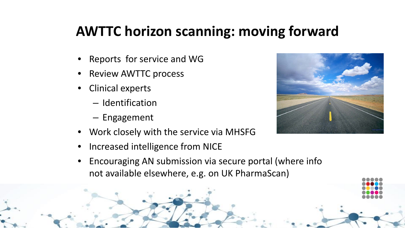# **AWTTC horizon scanning: moving forward**

- Reports for service and WG
- Review AWTTC process
- Clinical experts
	- Identification
	- Engagement
- Work closely with the service via MHSFG
- Increased intelligence from NICE
- Encouraging AN submission via secure portal (where info not available elsewhere, e.g. on UK PharmaScan)

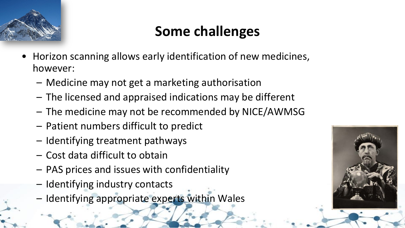

# **Some challenges**

- Horizon scanning allows early identification of new medicines, however:
	- Medicine may not get a marketing authorisation
	- The licensed and appraised indications may be different
	- The medicine may not be recommended by NICE/AWMSG
	- Patient numbers difficult to predict
	- Identifying treatment pathways
	- Cost data difficult to obtain
	- PAS prices and issues with confidentiality
	- Identifying industry contacts
	- Identifying appropriate experts within Wales

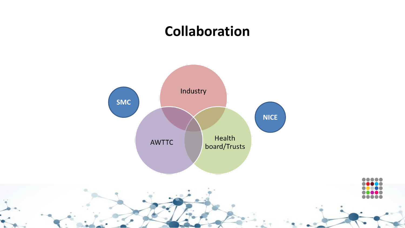# **Collaboration**